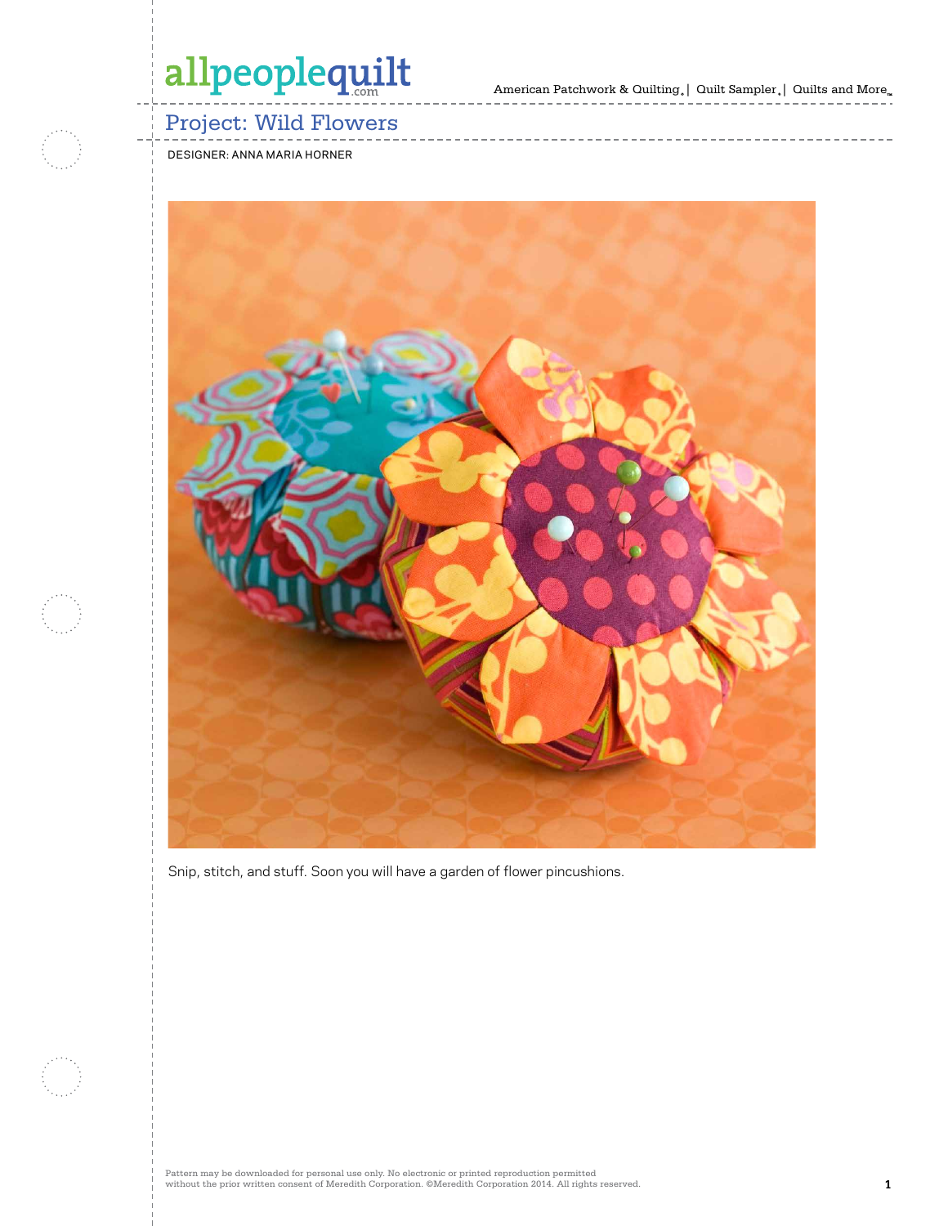American Patchwork & Quilting  $_{\circ} \, | \,$  Quilt Sampler  $_{\circ} \, | \,$  Quilts and More  $_{\circ} \,$ 

## Project: Wild Flowers

designer: anna maria horner



Snip, stitch, and stuff. Soon you will have a garden of flower pincushions.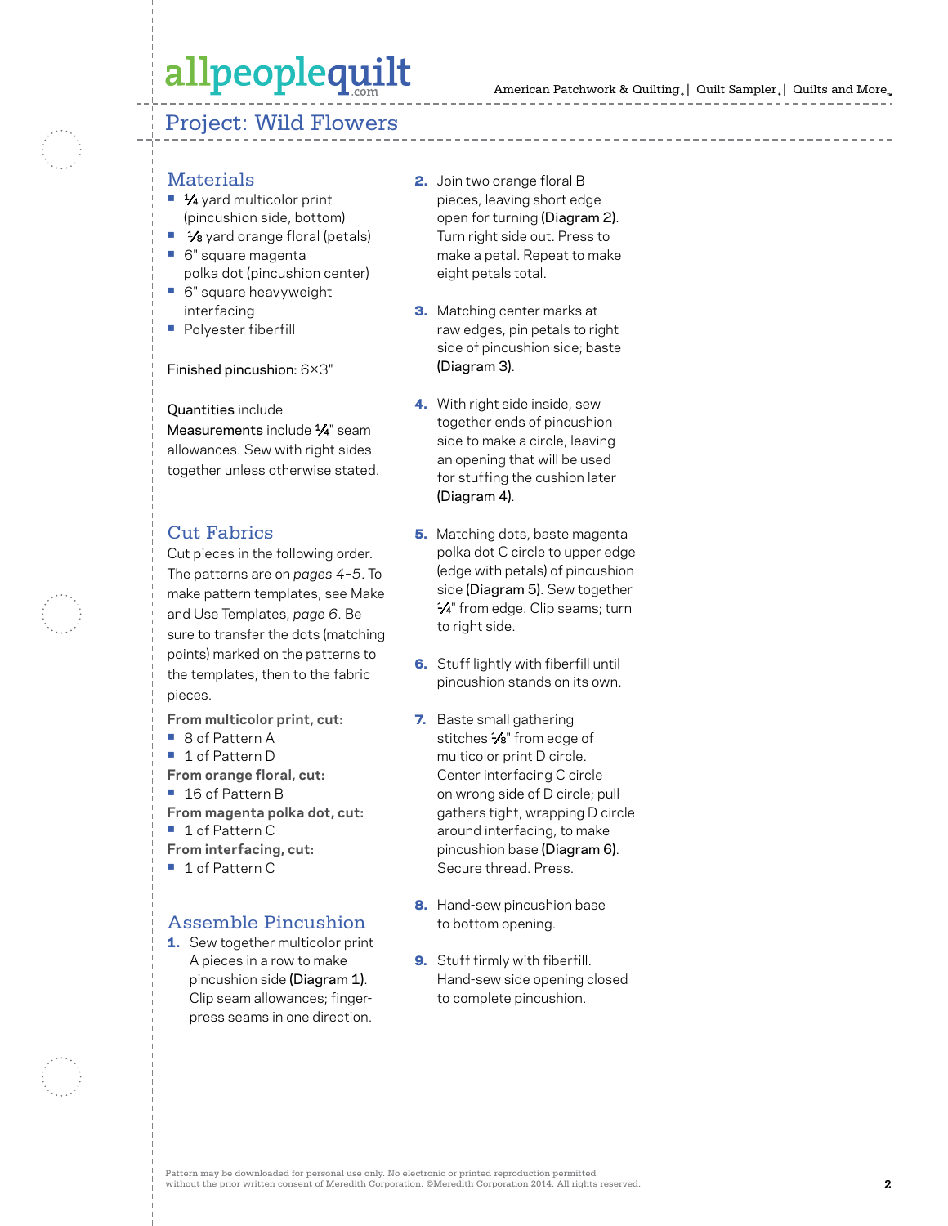### Project: Wild Flowers

- **Materials**
- 1⁄4 yard multicolor print (pincushion side, bottom)
- **• 1/8** yard orange floral (petals)
- **•** 6" square magenta polka dot (pincushion center)
- **•** 6" square heavyweight interfacing
- **•** Polyester fiberfill

#### Finished pincushion: 6×3"

Quantities include

Measurements include  $\frac{1}{4}$ " seam allowances. Sew with right sides together unless otherwise stated.

### Cut Fabrics

Cut pieces in the following order. The patterns are on *pages 4–5*. To make pattern templates, see Make and Use Templates, *page 6*. Be sure to transfer the dots (matching points) marked on the patterns to the templates, then to the fabric pieces.

- **From multicolor print, cut:**
- 8 of Pattern A
- **•** 1 of Pattern D
- **From orange floral, cut:**
- **•** 16 of Pattern B
- **From magenta polka dot, cut:**
- **•** 1 of Pattern C
- **From interfacing, cut:**
- **•** 1 of Pattern C

### Assemble Pincushion

1. Sew together multicolor print A pieces in a row to make pincushion side (Diagram 1). Clip seam allowances; fingerpress seams in one direction.

- 2. Join two orange floral B pieces, leaving short edge open for turning (Diagram 2). Turn right side out. Press to make a petal. Repeat to make eight petals total.
- **3.** Matching center marks at raw edges, pin petals to right side of pincushion side; baste (Diagram 3).
- 4. With right side inside, sew together ends of pincushion side to make a circle, leaving an opening that will be used for stuffing the cushion later (Diagram 4).
- **5.** Matching dots, baste magenta polka dot C circle to upper edge (edge with petals) of pincushion side (Diagram 5). Sew together 1⁄4" from edge. Clip seams; turn to right side.
- **6.** Stuff lightly with fiberfill until pincushion stands on its own.
- 7. Baste small gathering stitches 1/8" from edge of multicolor print D circle. Center interfacing C circle on wrong side of D circle; pull gathers tight, wrapping D circle around interfacing, to make pincushion base (Diagram 6). Secure thread. Press.
- 8. Hand-sew pincushion base to bottom opening.
- 9. Stuff firmly with fiberfill. Hand-sew side opening closed to complete pincushion.

Pattern may be downloaded for personal use only. No electronic or printed reproduction permitted without the prior written consent of Meredith Corporation. ©Meredith Corporation 2014. All rights reserved. **2**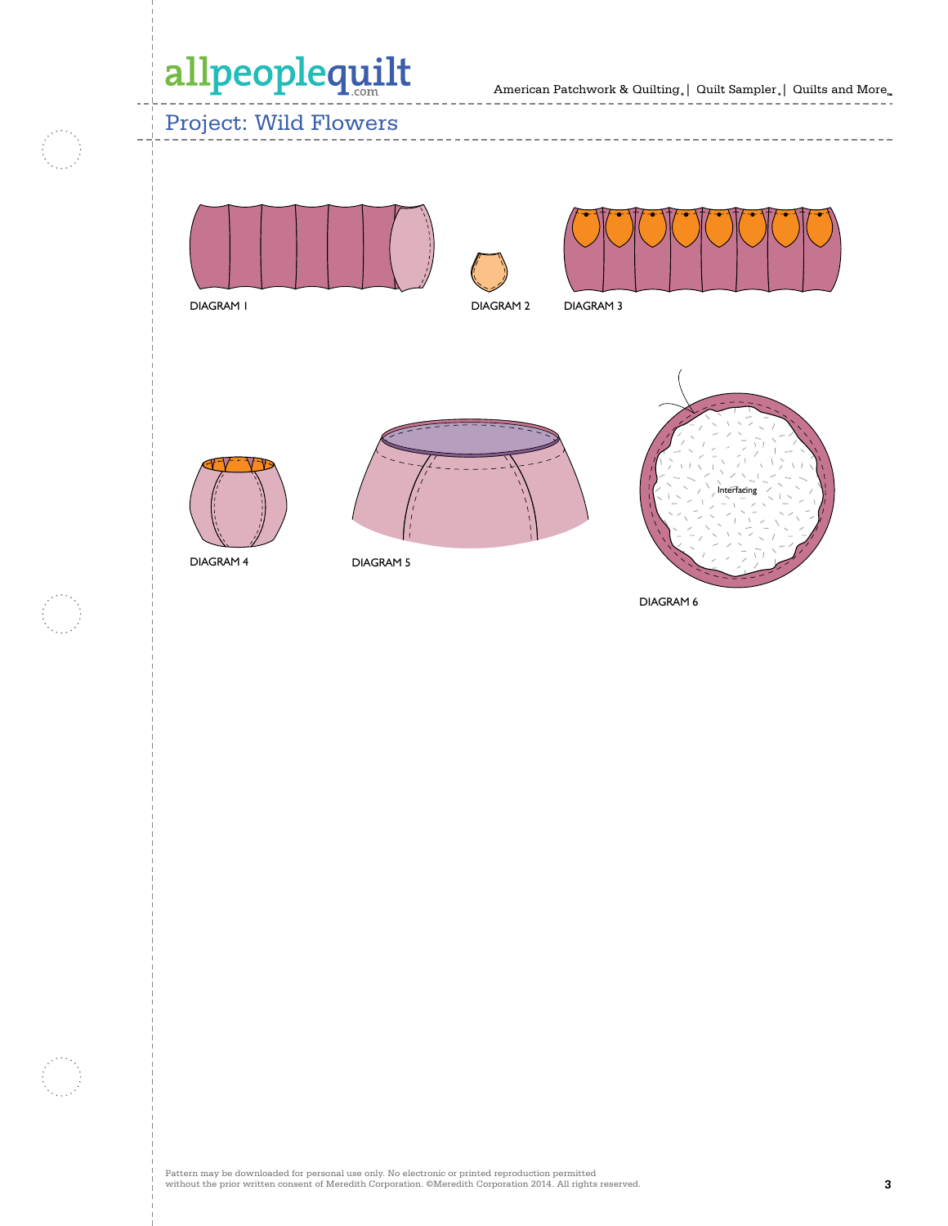American Patchwork & Quilting  $_{\circ} \, | \,$  Quilt Sampler  $_{\circ} \, | \,$  Quilts and More  $_{\circ \circ}$ 

## Project: Wild Flowers







DIAGRAM 1

DIAGRAM 2

===

DIAGRAM 3

---------------



DIAGRAM 5



DIAGRAM 6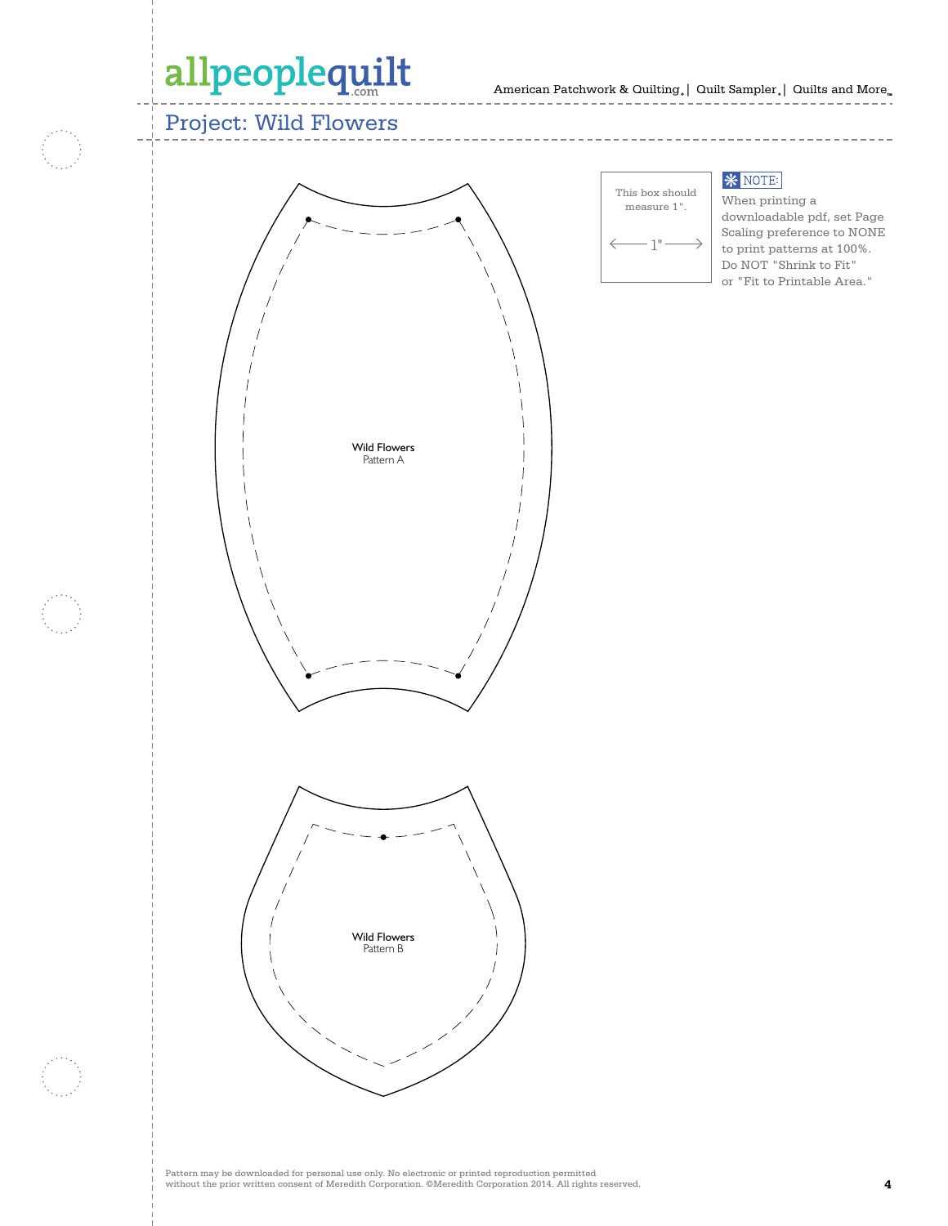## Project: Wild Flowers





### **\* NOTE:**

When printing a downloadable pdf, set Page Scaling preference to NONE to print patterns at 100%. Do NOT "Shrink to Fit" or "Fit to Printable Area."

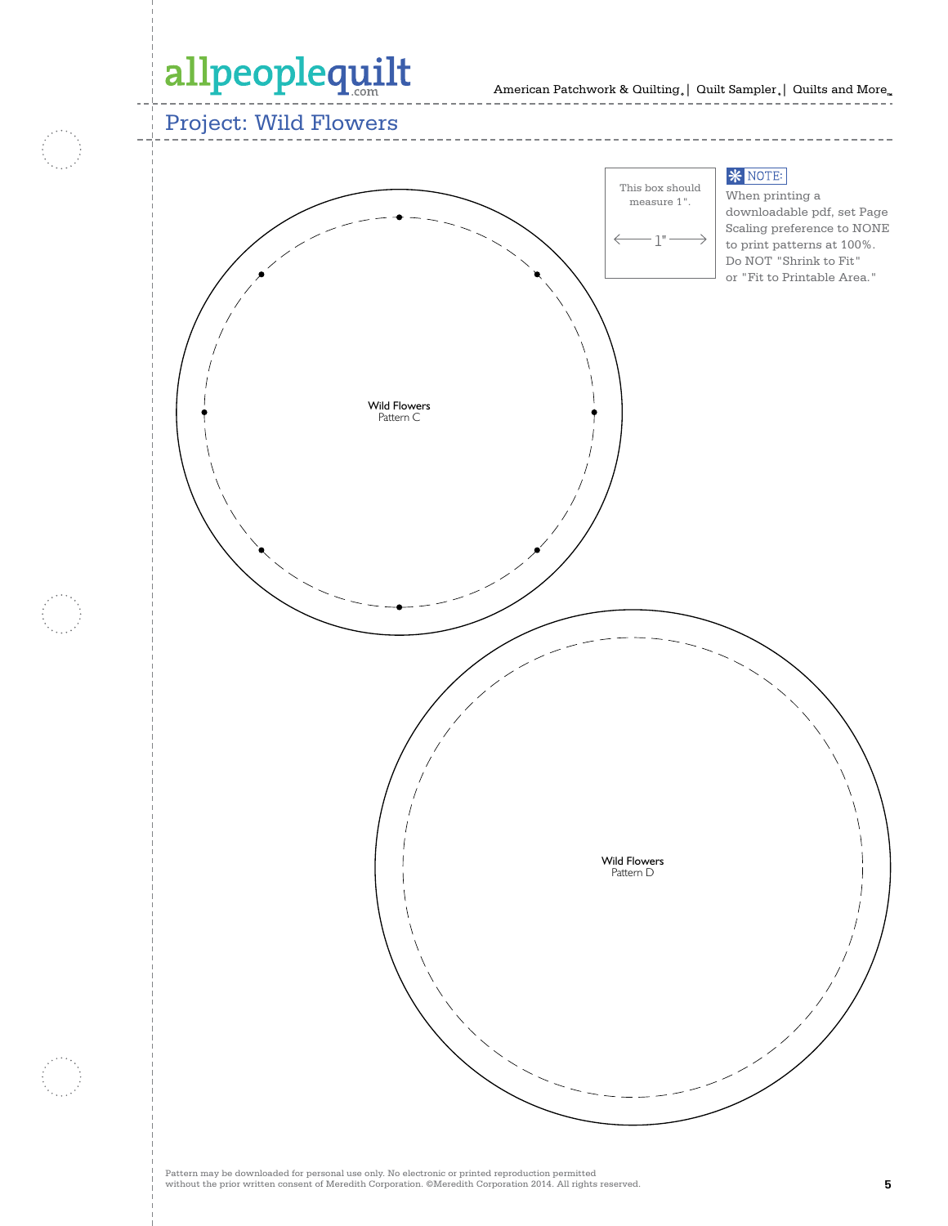Project: Wild Flowers